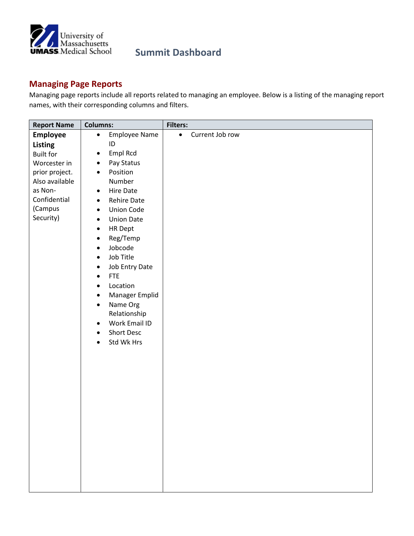

#### **Managing Page Reports**

Managing page reports include all reports related to managing an employee. Below is a listing of the managing report names, with their corresponding columns and filters.

| <b>Report Name</b> | <b>Columns:</b>                   | <b>Filters:</b>              |
|--------------------|-----------------------------------|------------------------------|
| Employee           | <b>Employee Name</b><br>$\bullet$ | Current Job row<br>$\bullet$ |
| Listing            | ID                                |                              |
| <b>Built for</b>   | Empl Rcd<br>$\bullet$             |                              |
| Worcester in       | Pay Status<br>$\bullet$           |                              |
| prior project.     | Position<br>$\bullet$             |                              |
| Also available     | Number                            |                              |
| as Non-            | Hire Date<br>$\bullet$            |                              |
| Confidential       | Rehire Date<br>$\bullet$          |                              |
| (Campus            | Union Code<br>$\bullet$           |                              |
| Security)          | <b>Union Date</b><br>$\bullet$    |                              |
|                    | <b>HR Dept</b><br>$\bullet$       |                              |
|                    | Reg/Temp<br>$\bullet$             |                              |
|                    | Jobcode<br>$\bullet$              |                              |
|                    | Job Title<br>$\bullet$            |                              |
|                    | Job Entry Date<br>$\bullet$       |                              |
|                    | <b>FTE</b><br>$\bullet$           |                              |
|                    | Location<br>$\bullet$             |                              |
|                    | Manager Emplid<br>$\bullet$       |                              |
|                    | Name Org<br>$\bullet$             |                              |
|                    | Relationship                      |                              |
|                    | Work Email ID<br>$\bullet$        |                              |
|                    | <b>Short Desc</b><br>$\bullet$    |                              |
|                    | Std Wk Hrs<br>$\bullet$           |                              |
|                    |                                   |                              |
|                    |                                   |                              |
|                    |                                   |                              |
|                    |                                   |                              |
|                    |                                   |                              |
|                    |                                   |                              |
|                    |                                   |                              |
|                    |                                   |                              |
|                    |                                   |                              |
|                    |                                   |                              |
|                    |                                   |                              |
|                    |                                   |                              |
|                    |                                   |                              |
|                    |                                   |                              |
|                    |                                   |                              |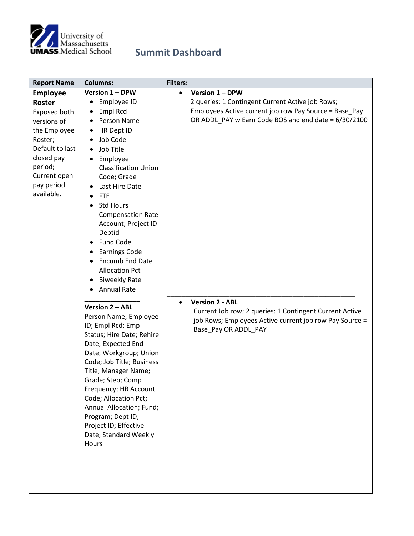

| <b>Report Name</b> | <b>Columns:</b>                | <b>Filters:</b>                                         |
|--------------------|--------------------------------|---------------------------------------------------------|
| <b>Employee</b>    | Version 1 - DPW                | Version 1 - DPW<br>$\bullet$                            |
| <b>Roster</b>      | Employee ID                    | 2 queries: 1 Contingent Current Active job Rows;        |
| Exposed both       | Empl Rcd                       | Employees Active current job row Pay Source = Base_Pay  |
| versions of        | Person Name                    | OR ADDL_PAY w Earn Code BOS and end date = 6/30/2100    |
| the Employee       | HR Dept ID                     |                                                         |
| Roster;            | Job Code                       |                                                         |
| Default to last    | Job Title<br>$\bullet$         |                                                         |
| closed pay         | Employee                       |                                                         |
| period;            | <b>Classification Union</b>    |                                                         |
| Current open       | Code; Grade                    |                                                         |
| pay period         | Last Hire Date                 |                                                         |
| available.         | <b>FTE</b>                     |                                                         |
|                    | <b>Std Hours</b><br>$\bullet$  |                                                         |
|                    | <b>Compensation Rate</b>       |                                                         |
|                    | Account; Project ID            |                                                         |
|                    | Deptid                         |                                                         |
|                    | Fund Code<br>٠                 |                                                         |
|                    | <b>Earnings Code</b>           |                                                         |
|                    | <b>Encumb End Date</b>         |                                                         |
|                    | <b>Allocation Pct</b>          |                                                         |
|                    | <b>Biweekly Rate</b>           |                                                         |
|                    | <b>Annual Rate</b>             |                                                         |
|                    |                                | <b>Version 2 - ABL</b><br>$\bullet$                     |
|                    | Version 2 - ABL                | Current Job row; 2 queries: 1 Contingent Current Active |
|                    | Person Name; Employee          | job Rows; Employees Active current job row Pay Source = |
|                    | ID; Empl Rcd; Emp              | Base_Pay OR ADDL_PAY                                    |
|                    | Status; Hire Date; Rehire      |                                                         |
|                    | Date; Expected End             |                                                         |
|                    | Date; Workgroup; Union         |                                                         |
|                    | Code; Job Title; Business      |                                                         |
|                    | Title; Manager Name;           |                                                         |
|                    | Grade; Step; Comp              |                                                         |
|                    | Frequency; HR Account          |                                                         |
|                    | Code; Allocation Pct;          |                                                         |
|                    | Annual Allocation; Fund;       |                                                         |
|                    | Program; Dept ID;              |                                                         |
|                    | Project ID; Effective          |                                                         |
|                    | Date; Standard Weekly<br>Hours |                                                         |
|                    |                                |                                                         |
|                    |                                |                                                         |
|                    |                                |                                                         |
|                    |                                |                                                         |
|                    |                                |                                                         |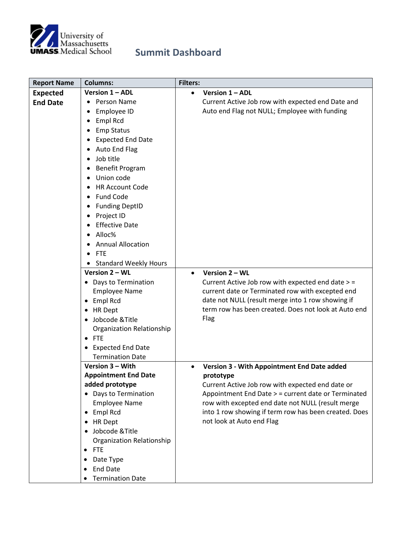

| <b>Report Name</b> | <b>Columns:</b>                                | <b>Filters:</b> |                                                                                                       |
|--------------------|------------------------------------------------|-----------------|-------------------------------------------------------------------------------------------------------|
| <b>Expected</b>    | Version 1 - ADL                                | $\bullet$       | Version 1 - ADL                                                                                       |
| <b>End Date</b>    | Person Name                                    |                 | Current Active Job row with expected end Date and                                                     |
|                    | Employee ID<br>٠                               |                 | Auto end Flag not NULL; Employee with funding                                                         |
|                    | Empl Rcd                                       |                 |                                                                                                       |
|                    | <b>Emp Status</b>                              |                 |                                                                                                       |
|                    | <b>Expected End Date</b>                       |                 |                                                                                                       |
|                    | Auto End Flag                                  |                 |                                                                                                       |
|                    | Job title                                      |                 |                                                                                                       |
|                    | <b>Benefit Program</b>                         |                 |                                                                                                       |
|                    | Union code                                     |                 |                                                                                                       |
|                    | <b>HR Account Code</b>                         |                 |                                                                                                       |
|                    | <b>Fund Code</b>                               |                 |                                                                                                       |
|                    | <b>Funding DeptID</b>                          |                 |                                                                                                       |
|                    | Project ID<br>٠                                |                 |                                                                                                       |
|                    | <b>Effective Date</b>                          |                 |                                                                                                       |
|                    | Alloc%                                         |                 |                                                                                                       |
|                    | <b>Annual Allocation</b>                       |                 |                                                                                                       |
|                    |                                                |                 |                                                                                                       |
|                    | <b>FTE</b>                                     |                 |                                                                                                       |
|                    | <b>Standard Weekly Hours</b><br>Version 2 - WL | $\bullet$       | Version 2 - WL                                                                                        |
|                    | • Days to Termination                          |                 |                                                                                                       |
|                    | <b>Employee Name</b>                           |                 | Current Active Job row with expected end date > =<br>current date or Terminated row with excepted end |
|                    | • Empl Rcd                                     |                 | date not NULL (result merge into 1 row showing if                                                     |
|                    | • HR Dept                                      |                 | term row has been created. Does not look at Auto end                                                  |
|                    | • Jobcode & Title                              |                 | Flag                                                                                                  |
|                    | Organization Relationship                      |                 |                                                                                                       |
|                    | $\bullet$ FTE                                  |                 |                                                                                                       |
|                    |                                                |                 |                                                                                                       |
|                    | • Expected End Date<br><b>Termination Date</b> |                 |                                                                                                       |
|                    | Version 3 - With                               |                 | <b>Version 3 - With Appointment End Date added</b>                                                    |
|                    | <b>Appointment End Date</b>                    |                 | prototype                                                                                             |
|                    | added prototype                                |                 | Current Active Job row with expected end date or                                                      |
|                    | • Days to Termination                          |                 | Appointment End Date > = current date or Terminated                                                   |
|                    | <b>Employee Name</b>                           |                 | row with excepted end date not NULL (result merge                                                     |
|                    | Empl Rcd<br>$\bullet$                          |                 | into 1 row showing if term row has been created. Does                                                 |
|                    | • HR Dept                                      |                 | not look at Auto end Flag                                                                             |
|                    | • Jobcode & Title                              |                 |                                                                                                       |
|                    | Organization Relationship                      |                 |                                                                                                       |
|                    | <b>FTE</b>                                     |                 |                                                                                                       |
|                    | Date Type<br>$\bullet$                         |                 |                                                                                                       |
|                    | <b>End Date</b>                                |                 |                                                                                                       |
|                    | <b>Termination Date</b>                        |                 |                                                                                                       |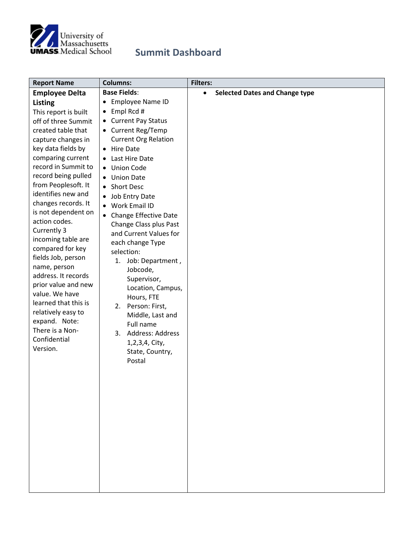

| <b>Report Name</b>                    | <b>Columns:</b>                        | <b>Filters:</b>                                    |
|---------------------------------------|----------------------------------------|----------------------------------------------------|
| <b>Employee Delta</b>                 | <b>Base Fields:</b>                    | <b>Selected Dates and Change type</b><br>$\bullet$ |
| Listing                               | <b>Employee Name ID</b><br>$\bullet$   |                                                    |
| This report is built                  | Empl Rcd #<br>$\bullet$                |                                                    |
| off of three Summit                   | <b>Current Pay Status</b><br>$\bullet$ |                                                    |
| created table that                    | • Current Reg/Temp                     |                                                    |
| capture changes in                    | <b>Current Org Relation</b>            |                                                    |
| key data fields by                    | <b>Hire Date</b><br>$\bullet$          |                                                    |
| comparing current                     | Last Hire Date<br>$\bullet$            |                                                    |
| record in Summit to                   | • Union Code                           |                                                    |
| record being pulled                   | <b>Union Date</b>                      |                                                    |
| from Peoplesoft. It                   | <b>Short Desc</b><br>$\bullet$         |                                                    |
| identifies new and                    | Job Entry Date<br>$\bullet$            |                                                    |
| changes records. It                   | Work Email ID                          |                                                    |
| is not dependent on                   | • Change Effective Date                |                                                    |
| action codes.                         | Change Class plus Past                 |                                                    |
| Currently 3                           | and Current Values for                 |                                                    |
| incoming table are                    | each change Type                       |                                                    |
| compared for key                      | selection:                             |                                                    |
| fields Job, person                    | 1. Job: Department,                    |                                                    |
| name, person                          | Jobcode,                               |                                                    |
| address. It records                   | Supervisor,                            |                                                    |
| prior value and new<br>value. We have | Location, Campus,                      |                                                    |
| learned that this is                  | Hours, FTE                             |                                                    |
| relatively easy to                    | 2. Person: First,                      |                                                    |
| expand. Note:                         | Middle, Last and                       |                                                    |
| There is a Non-                       | Full name                              |                                                    |
| Confidential                          | Address: Address<br>3.                 |                                                    |
| Version.                              | 1,2,3,4, City,                         |                                                    |
|                                       | State, Country,                        |                                                    |
|                                       | Postal                                 |                                                    |
|                                       |                                        |                                                    |
|                                       |                                        |                                                    |
|                                       |                                        |                                                    |
|                                       |                                        |                                                    |
|                                       |                                        |                                                    |
|                                       |                                        |                                                    |
|                                       |                                        |                                                    |
|                                       |                                        |                                                    |
|                                       |                                        |                                                    |
|                                       |                                        |                                                    |
|                                       |                                        |                                                    |
|                                       |                                        |                                                    |
|                                       |                                        |                                                    |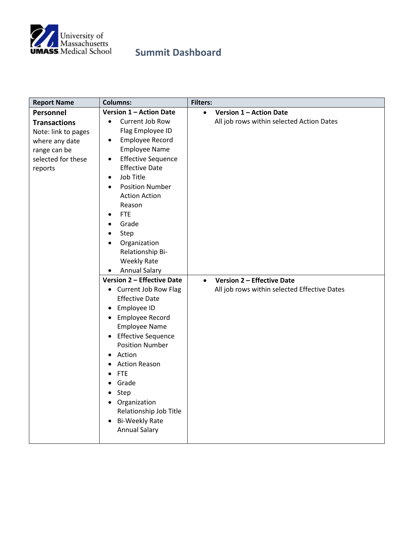

| <b>Report Name</b>  | <b>Columns:</b>                        | <b>Filters:</b>                                |
|---------------------|----------------------------------------|------------------------------------------------|
| Personnel           | Version 1 - Action Date                | <b>Version 1 - Action Date</b><br>$\bullet$    |
| <b>Transactions</b> | Current Job Row<br>$\bullet$           | All job rows within selected Action Dates      |
| Note: link to pages | Flag Employee ID                       |                                                |
| where any date      | Employee Record<br>$\bullet$           |                                                |
| range can be        | <b>Employee Name</b>                   |                                                |
| selected for these  | <b>Effective Sequence</b><br>$\bullet$ |                                                |
| reports             | <b>Effective Date</b>                  |                                                |
|                     | Job Title<br>$\bullet$                 |                                                |
|                     | <b>Position Number</b><br>$\bullet$    |                                                |
|                     | <b>Action Action</b>                   |                                                |
|                     | Reason                                 |                                                |
|                     | <b>FTE</b><br>$\bullet$                |                                                |
|                     | Grade<br>$\bullet$                     |                                                |
|                     | Step<br>$\bullet$                      |                                                |
|                     | Organization<br>$\bullet$              |                                                |
|                     | Relationship Bi-                       |                                                |
|                     | <b>Weekly Rate</b>                     |                                                |
|                     | <b>Annual Salary</b>                   |                                                |
|                     | <b>Version 2 - Effective Date</b>      | <b>Version 2 - Effective Date</b><br>$\bullet$ |
|                     | • Current Job Row Flag                 | All job rows within selected Effective Dates   |
|                     | <b>Effective Date</b>                  |                                                |
|                     | Employee ID<br>$\bullet$               |                                                |
|                     | • Employee Record                      |                                                |
|                     | <b>Employee Name</b>                   |                                                |
|                     | • Effective Sequence                   |                                                |
|                     | <b>Position Number</b>                 |                                                |
|                     | Action<br>$\bullet$                    |                                                |
|                     | <b>Action Reason</b><br>٠              |                                                |
|                     | <b>FTE</b><br>$\bullet$                |                                                |
|                     | Grade<br>$\bullet$                     |                                                |
|                     | Step<br>$\bullet$                      |                                                |
|                     | • Organization                         |                                                |
|                     | Relationship Job Title                 |                                                |
|                     | • Bi-Weekly Rate                       |                                                |
|                     | <b>Annual Salary</b>                   |                                                |
|                     |                                        |                                                |